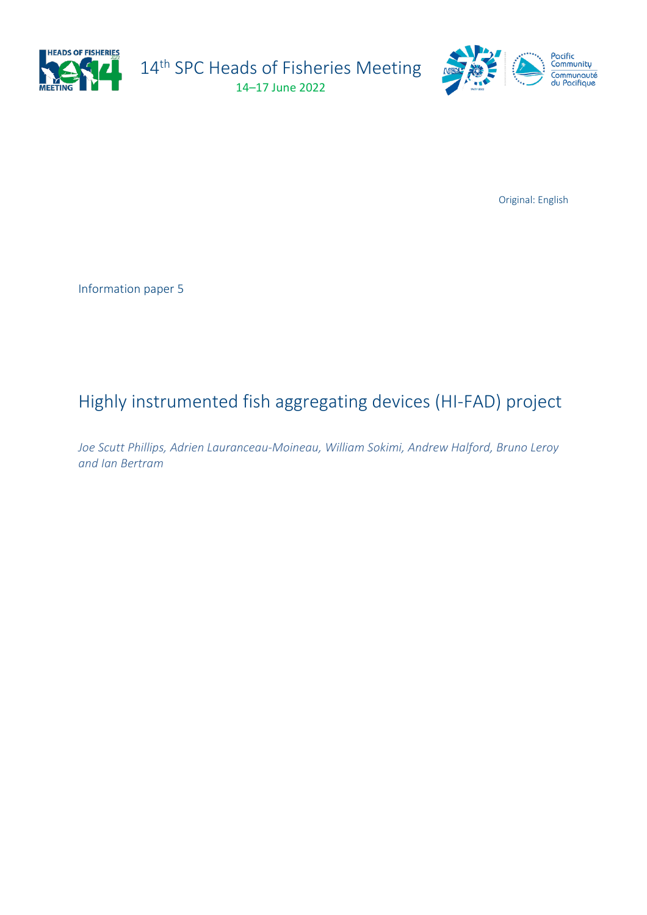

14<sup>th</sup> SPC Heads of Fisheries Meeting 14–17 June 2022



Original: English

Information paper 5

## Highly instrumented fish aggregating devices (HI-FAD) project

*Joe Scutt Phillips, Adrien Lauranceau-Moineau, William Sokimi, Andrew Halford, Bruno Leroy and Ian Bertram*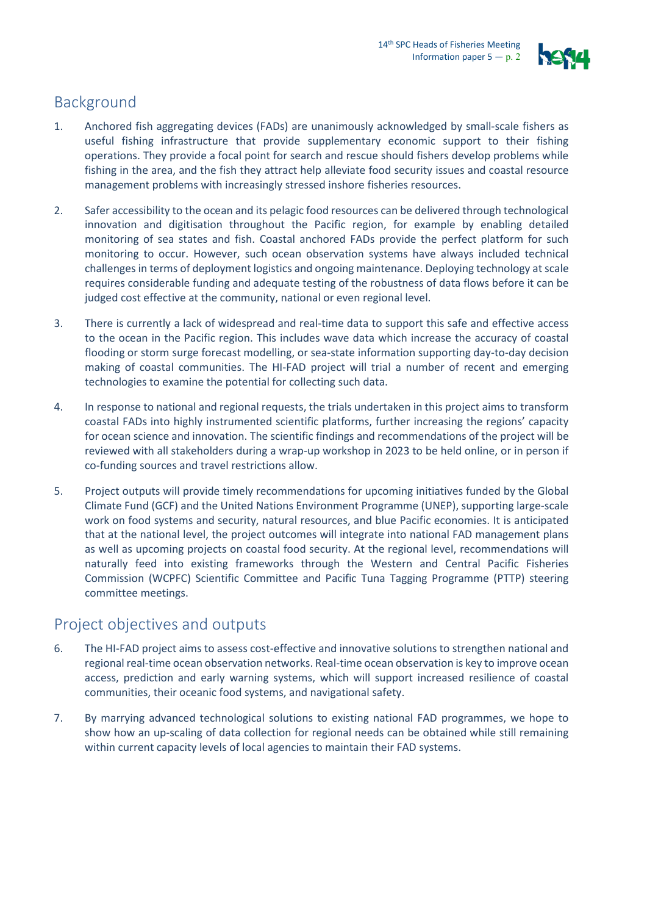

## Background

- 1. Anchored fish aggregating devices (FADs) are unanimously acknowledged by small-scale fishers as useful fishing infrastructure that provide supplementary economic support to their fishing operations. They provide a focal point for search and rescue should fishers develop problems while fishing in the area, and the fish they attract help alleviate food security issues and coastal resource management problems with increasingly stressed inshore fisheries resources.
- 2. Safer accessibility to the ocean and its pelagic food resources can be delivered through technological innovation and digitisation throughout the Pacific region, for example by enabling detailed monitoring of sea states and fish. Coastal anchored FADs provide the perfect platform for such monitoring to occur. However, such ocean observation systems have always included technical challenges in terms of deployment logistics and ongoing maintenance. Deploying technology at scale requires considerable funding and adequate testing of the robustness of data flows before it can be judged cost effective at the community, national or even regional level.
- 3. There is currently a lack of widespread and real-time data to support this safe and effective access to the ocean in the Pacific region. This includes wave data which increase the accuracy of coastal flooding or storm surge forecast modelling, or sea-state information supporting day-to-day decision making of coastal communities. The HI-FAD project will trial a number of recent and emerging technologies to examine the potential for collecting such data.
- 4. In response to national and regional requests, the trials undertaken in this project aims to transform coastal FADs into highly instrumented scientific platforms, further increasing the regions' capacity for ocean science and innovation. The scientific findings and recommendations of the project will be reviewed with all stakeholders during a wrap-up workshop in 2023 to be held online, or in person if co-funding sources and travel restrictions allow.
- 5. Project outputs will provide timely recommendations for upcoming initiatives funded by the Global Climate Fund (GCF) and the United Nations Environment Programme (UNEP), supporting large-scale work on food systems and security, natural resources, and blue Pacific economies. It is anticipated that at the national level, the project outcomes will integrate into national FAD management plans as well as upcoming projects on coastal food security. At the regional level, recommendations will naturally feed into existing frameworks through the Western and Central Pacific Fisheries Commission (WCPFC) Scientific Committee and Pacific Tuna Tagging Programme (PTTP) steering committee meetings.

## Project objectives and outputs

- 6. The HI-FAD project aims to assess cost-effective and innovative solutions to strengthen national and regional real-time ocean observation networks. Real-time ocean observation is key to improve ocean access, prediction and early warning systems, which will support increased resilience of coastal communities, their oceanic food systems, and navigational safety.
- 7. By marrying advanced technological solutions to existing national FAD programmes, we hope to show how an up-scaling of data collection for regional needs can be obtained while still remaining within current capacity levels of local agencies to maintain their FAD systems.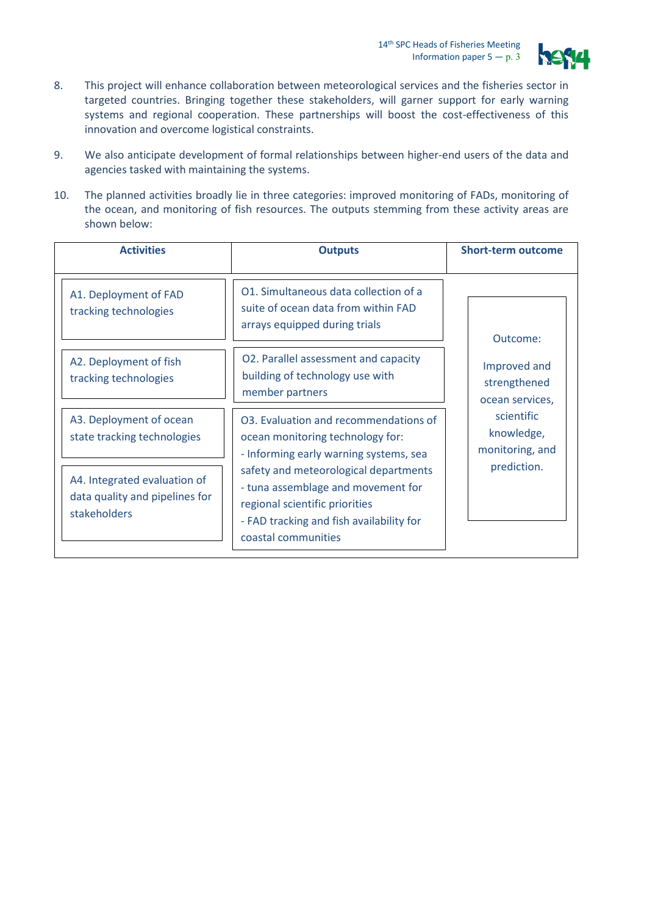

- 8. This project will enhance collaboration between meteorological services and the fisheries sector in targeted countries. Bringing together these stakeholders, will garner support for early warning systems and regional cooperation. These partnerships will boost the cost-effectiveness of this innovation and overcome logistical constraints.
- 9. We also anticipate development of formal relationships between higher-end users of the data and agencies tasked with maintaining the systems.
- 10. The planned activities broadly lie in three categories: improved monitoring of FADs, monitoring of the ocean, and monitoring of fish resources. The outputs stemming from these activity areas are shown below:

| <b>Activities</b>                                                                     | <b>Outputs</b>                                                                                                                                                                                                                                                                                          | <b>Short-term outcome</b>                                   |
|---------------------------------------------------------------------------------------|---------------------------------------------------------------------------------------------------------------------------------------------------------------------------------------------------------------------------------------------------------------------------------------------------------|-------------------------------------------------------------|
| A1. Deployment of FAD<br>tracking technologies                                        | O1. Simultaneous data collection of a<br>suite of ocean data from within FAD<br>arrays equipped during trials                                                                                                                                                                                           | Outcome:<br>Improved and<br>strengthened<br>ocean services, |
| A2. Deployment of fish<br>tracking technologies                                       | O2. Parallel assessment and capacity<br>building of technology use with<br>member partners                                                                                                                                                                                                              |                                                             |
| A3. Deployment of ocean<br>state tracking technologies                                | O3. Evaluation and recommendations of<br>ocean monitoring technology for:<br>- Informing early warning systems, sea<br>safety and meteorological departments<br>- tuna assemblage and movement for<br>regional scientific priorities<br>- FAD tracking and fish availability for<br>coastal communities | scientific<br>knowledge,<br>monitoring, and                 |
| A4. Integrated evaluation of<br>data quality and pipelines for<br><b>stakeholders</b> |                                                                                                                                                                                                                                                                                                         | prediction.                                                 |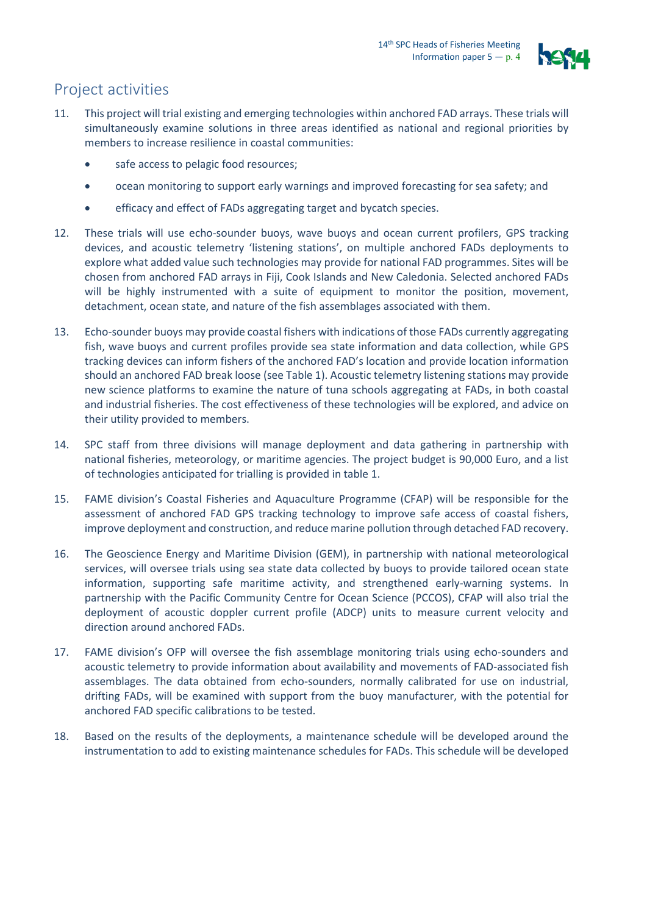

## Project activities

- 11. This project will trial existing and emerging technologies within anchored FAD arrays. These trials will simultaneously examine solutions in three areas identified as national and regional priorities by members to increase resilience in coastal communities:
	- safe access to pelagic food resources:
	- ocean monitoring to support early warnings and improved forecasting for sea safety; and
	- efficacy and effect of FADs aggregating target and bycatch species.
- 12. These trials will use echo-sounder buoys, wave buoys and ocean current profilers, GPS tracking devices, and acoustic telemetry 'listening stations', on multiple anchored FADs deployments to explore what added value such technologies may provide for national FAD programmes. Sites will be chosen from anchored FAD arrays in Fiji, Cook Islands and New Caledonia. Selected anchored FADs will be highly instrumented with a suite of equipment to monitor the position, movement, detachment, ocean state, and nature of the fish assemblages associated with them.
- 13. Echo-sounder buoys may provide coastal fishers with indications of those FADs currently aggregating fish, wave buoys and current profiles provide sea state information and data collection, while GPS tracking devices can inform fishers of the anchored FAD's location and provide location information should an anchored FAD break loose (see Table 1). Acoustic telemetry listening stations may provide new science platforms to examine the nature of tuna schools aggregating at FADs, in both coastal and industrial fisheries. The cost effectiveness of these technologies will be explored, and advice on their utility provided to members.
- 14. SPC staff from three divisions will manage deployment and data gathering in partnership with national fisheries, meteorology, or maritime agencies. The project budget is 90,000 Euro, and a list of technologies anticipated for trialling is provided in table 1.
- 15. FAME division's Coastal Fisheries and Aquaculture Programme (CFAP) will be responsible for the assessment of anchored FAD GPS tracking technology to improve safe access of coastal fishers, improve deployment and construction, and reduce marine pollution through detached FAD recovery.
- 16. The Geoscience Energy and Maritime Division (GEM), in partnership with national meteorological services, will oversee trials using sea state data collected by buoys to provide tailored ocean state information, supporting safe maritime activity, and strengthened early-warning systems. In partnership with the Pacific Community Centre for Ocean Science (PCCOS), CFAP will also trial the deployment of acoustic doppler current profile (ADCP) units to measure current velocity and direction around anchored FADs.
- 17. FAME division's OFP will oversee the fish assemblage monitoring trials using echo-sounders and acoustic telemetry to provide information about availability and movements of FAD-associated fish assemblages. The data obtained from echo-sounders, normally calibrated for use on industrial, drifting FADs, will be examined with support from the buoy manufacturer, with the potential for anchored FAD specific calibrations to be tested.
- 18. Based on the results of the deployments, a maintenance schedule will be developed around the instrumentation to add to existing maintenance schedules for FADs. This schedule will be developed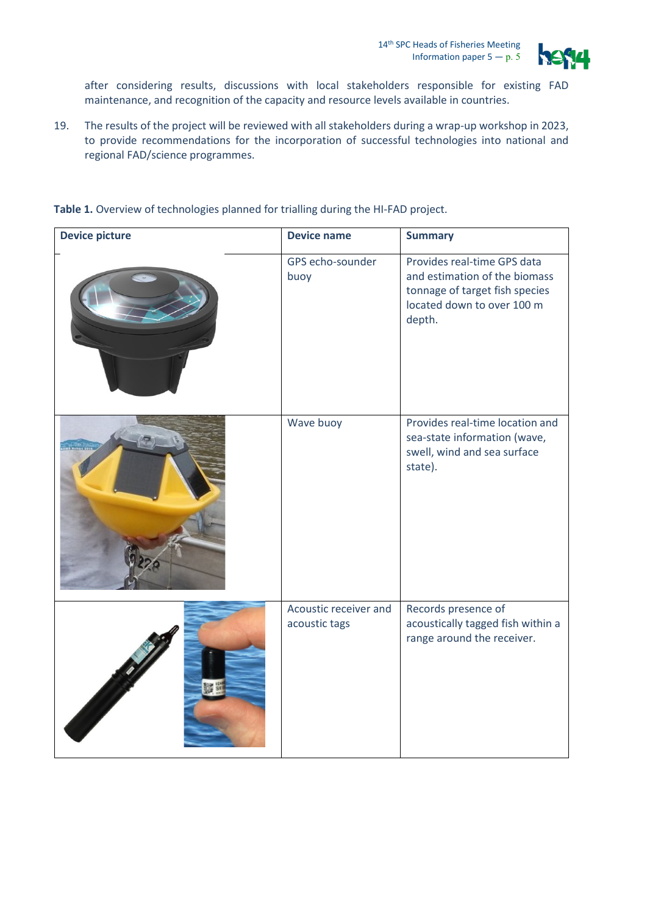

after considering results, discussions with local stakeholders responsible for existing FAD maintenance, and recognition of the capacity and resource levels available in countries.

19. The results of the project will be reviewed with all stakeholders during a wrap-up workshop in 2023, to provide recommendations for the incorporation of successful technologies into national and regional FAD/science programmes.

**Device picture Device name Summary** GPS echo-sounder buoy Provides real-time GPS data and estimation of the biomass tonnage of target fish species located down to over 100 m depth. Wave buoy Provides real-time location and sea-state information (wave, swell, wind and sea surface state). Acoustic receiver and acoustic tags Records presence of acoustically tagged fish within a range around the receiver.

**Table 1.** Overview of technologies planned for trialling during the HI-FAD project.